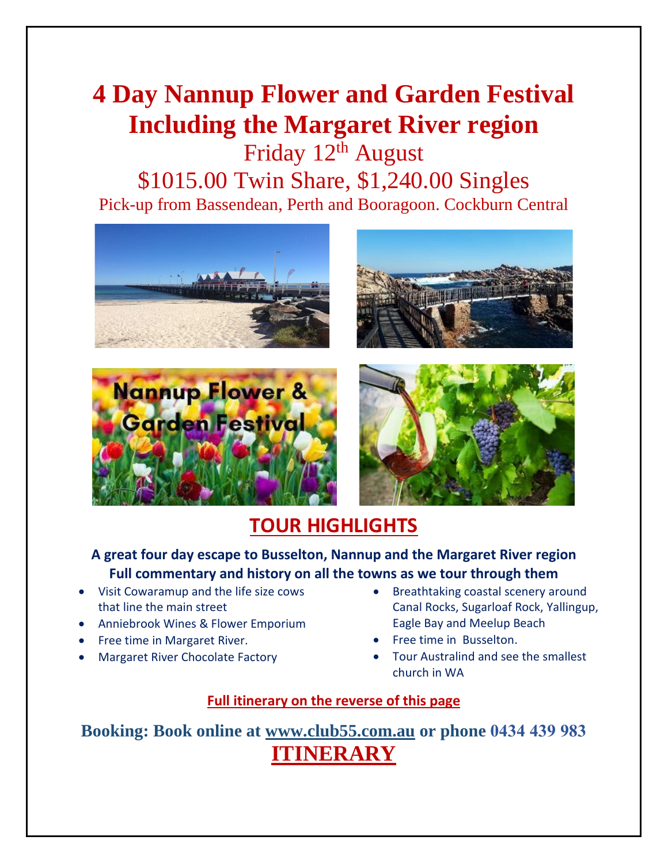## **4 Day Nannup Flower and Garden Festival Including the Margaret River region**

Friday 12<sup>th</sup> August \$1015.00 Twin Share, \$1,240.00 Singles Pick-up from Bassendean, Perth and Booragoon. Cockburn Central









### **TOUR HIGHLIGHTS**

#### **A great four day escape to Busselton, Nannup and the Margaret River region Full commentary and history on all the towns as we tour through them**

- Visit Cowaramup and the life size cows that line the main street
- Anniebrook Wines & Flower Emporium
- Free time in Margaret River.
- Margaret River Chocolate Factory
- Breathtaking coastal scenery around Canal Rocks, Sugarloaf Rock, Yallingup, Eagle Bay and Meelup Beach
- Free time in Busselton.
- Tour Australind and see the smallest church in WA

#### **Full itinerary on the reverse of this page**

**Booking: Book online at [www.club55.com.au](http://www.club55.com.au/) or phone 0434 439 983 ITINERARY**